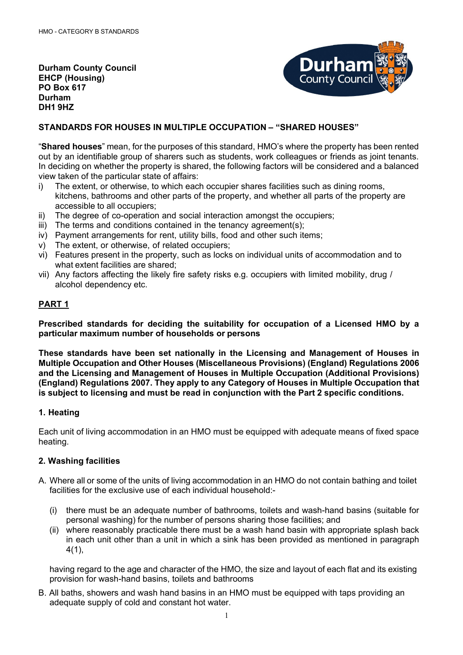**Durham County Council EHCP (Housing) PO Box 617 Durham DH1 9HZ**



## **STANDARDS FOR HOUSES IN MULTIPLE OCCUPATION – "SHARED HOUSES"**

"**Shared houses**" mean, for the purposes of this standard, HMO's where the property has been rented out by an identifiable group of sharers such as students, work colleagues or friends as joint tenants. In deciding on whether the property is shared, the following factors will be considered and a balanced view taken of the particular state of affairs:

- i) The extent, or otherwise, to which each occupier shares facilities such as dining rooms, kitchens, bathrooms and other parts of the property, and whether all parts of the property are accessible to all occupiers;
- ii) The degree of co-operation and social interaction amongst the occupiers;
- iii) The terms and conditions contained in the tenancy agreement(s);
- iv) Payment arrangements for rent, utility bills, food and other such items;
- v) The extent, or otherwise, of related occupiers;
- vi) Features present in the property, such as locks on individual units of accommodation and to what extent facilities are shared:
- vii) Any factors affecting the likely fire safety risks e.g. occupiers with limited mobility, drug / alcohol dependency etc.

## **PART 1**

**Prescribed standards for deciding the suitability for occupation of a Licensed HMO by a particular maximum number of households or persons**

**These standards have been set nationally in the Licensing and Management of Houses in Multiple Occupation and Other Houses (Miscellaneous Provisions) (England) Regulations 2006 and the Licensing and Management of Houses in Multiple Occupation (Additional Provisions) (England) Regulations 2007. They apply to any Category of Houses in Multiple Occupation that is subject to licensing and must be read in conjunction with the Part 2 specific conditions.**

## **1. Heating**

Each unit of living accommodation in an HMO must be equipped with adequate means of fixed space heating.

## **2. Washing facilities**

- A. Where all or some of the units of living accommodation in an HMO do not contain bathing and toilet facilities for the exclusive use of each individual household:-
	- (i) there must be an adequate number of bathrooms, toilets and wash-hand basins (suitable for personal washing) for the number of persons sharing those facilities; and
	- (ii) where reasonably practicable there must be a wash hand basin with appropriate splash back in each unit other than a unit in which a sink has been provided as mentioned in paragraph 4(1),

having regard to the age and character of the HMO, the size and layout of each flat and its existing provision for wash-hand basins, toilets and bathrooms

B. All baths, showers and wash hand basins in an HMO must be equipped with taps providing an adequate supply of cold and constant hot water.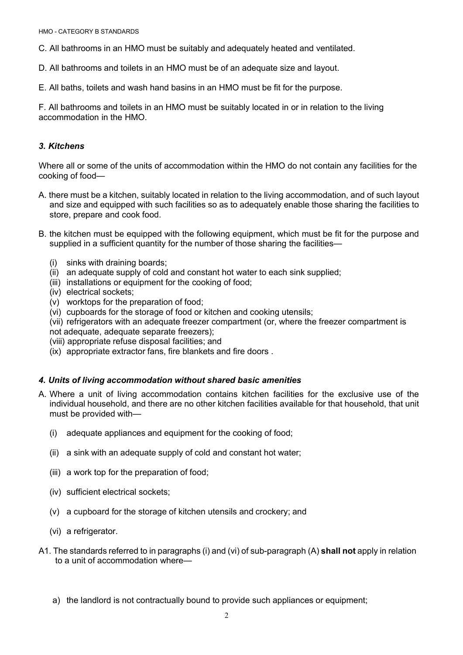C. All bathrooms in an HMO must be suitably and adequately heated and ventilated.

- D. All bathrooms and toilets in an HMO must be of an adequate size and layout.
- E. All baths, toilets and wash hand basins in an HMO must be fit for the purpose.

F. All bathrooms and toilets in an HMO must be suitably located in or in relation to the living accommodation in the HMO.

### *3. Kitchens*

Where all or some of the units of accommodation within the HMO do not contain any facilities for the cooking of food—

- A. there must be a kitchen, suitably located in relation to the living accommodation, and of such layout and size and equipped with such facilities so as to adequately enable those sharing the facilities to store, prepare and cook food.
- B. the kitchen must be equipped with the following equipment, which must be fit for the purpose and supplied in a sufficient quantity for the number of those sharing the facilities—
	- (i) sinks with draining boards;
	- (ii) an adequate supply of cold and constant hot water to each sink supplied;
	- (iii) installations or equipment for the cooking of food;
	- (iv) electrical sockets;
	- (v) worktops for the preparation of food;
	- (vi) cupboards for the storage of food or kitchen and cooking utensils;
	- (vii) refrigerators with an adequate freezer compartment (or, where the freezer compartment is not adequate, adequate separate freezers);
	- (viii) appropriate refuse disposal facilities; and
	- (ix) appropriate extractor fans, fire blankets and fire doors .

#### *4. Units of living accommodation without shared basic amenities*

- A. Where a unit of living accommodation contains kitchen facilities for the exclusive use of the individual household, and there are no other kitchen facilities available for that household, that unit must be provided with—
	- (i) adequate appliances and equipment for the cooking of food;
	- (ii) a sink with an adequate supply of cold and constant hot water;
	- (iii) a work top for the preparation of food;
	- (iv) sufficient electrical sockets;
	- (v) a cupboard for the storage of kitchen utensils and crockery; and
	- (vi) a refrigerator.
- A1. The standards referred to in paragraphs (i) and (vi) of sub-paragraph (A) **shall not** apply in relation to a unit of accommodation where
	- a) the landlord is not contractually bound to provide such appliances or equipment;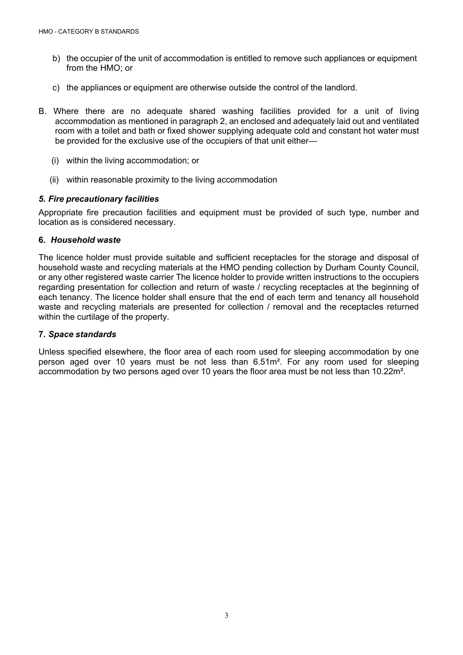- b) the occupier of the unit of accommodation is entitled to remove such appliances or equipment from the HMO; or
- c) the appliances or equipment are otherwise outside the control of the landlord.
- B. Where there are no adequate shared washing facilities provided for a unit of living accommodation as mentioned in paragraph 2, an enclosed and adequately laid out and ventilated room with a toilet and bath or fixed shower supplying adequate cold and constant hot water must be provided for the exclusive use of the occupiers of that unit either—
	- (i) within the living accommodation; or
	- (ii) within reasonable proximity to the living accommodation

## *5. Fire precautionary facilities*

Appropriate fire precaution facilities and equipment must be provided of such type, number and location as is considered necessary.

### **6.** *Household waste*

The licence holder must provide suitable and sufficient receptacles for the storage and disposal of household waste and recycling materials at the HMO pending collection by Durham County Council, or any other registered waste carrier The licence holder to provide written instructions to the occupiers regarding presentation for collection and return of waste / recycling receptacles at the beginning of each tenancy. The licence holder shall ensure that the end of each term and tenancy all household waste and recycling materials are presented for collection / removal and the receptacles returned within the curtilage of the property.

#### **7.** *Space standards*

Unless specified elsewhere, the floor area of each room used for sleeping accommodation by one person aged over 10 years must be not less than 6.51m². For any room used for sleeping accommodation by two persons aged over 10 years the floor area must be not less than 10.22m².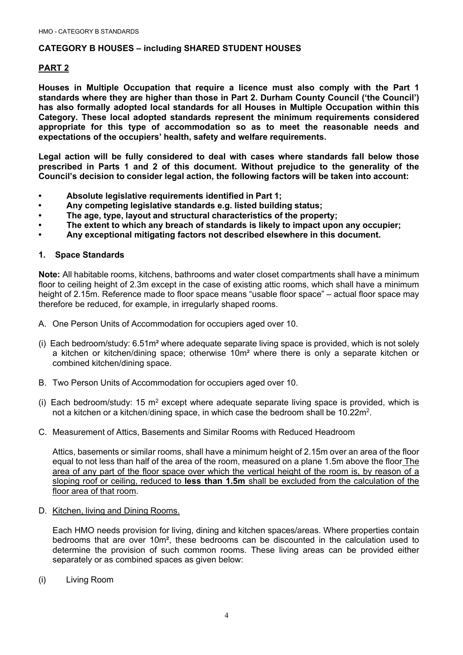### **CATEGORY B HOUSES – including SHARED STUDENT HOUSES**

### **PART 2**

**Houses in Multiple Occupation that require a licence must also comply with the Part 1 standards where they are higher than those in Part 2. Durham County Council ('the Council') has also formally adopted local standards for all Houses in Multiple Occupation within this Category. These local adopted standards represent the minimum requirements considered appropriate for this type of accommodation so as to meet the reasonable needs and expectations of the occupiers' health, safety and welfare requirements.**

**Legal action will be fully considered to deal with cases where standards fall below those prescribed in Parts 1 and 2 of this document. Without prejudice to the generality of the Council's decision to consider legal action, the following factors will be taken into account:**

- **Absolute legislative requirements identified in Part 1;**
- **Any competing legislative standards e.g. listed building status;**
- **The age, type, layout and structural characteristics of the property;**
- **The extent to which any breach of standards is likely to impact upon any occupier;**
- **Any exceptional mitigating factors not described elsewhere in this document.**

### **1. Space Standards**

**Note:** All habitable rooms, kitchens, bathrooms and water closet compartments shall have a minimum floor to ceiling height of 2.3m except in the case of existing attic rooms, which shall have a minimum height of 2.15m. Reference made to floor space means "usable floor space" – actual floor space may therefore be reduced, for example, in irregularly shaped rooms.

A. One Person Units of Accommodation for occupiers aged over 10.

- (i) Each bedroom/study:  $6.51m<sup>2</sup>$  where adequate separate living space is provided, which is not solely a kitchen or kitchen/dining space; otherwise 10m² where there is only a separate kitchen or combined kitchen/dining space.
- B. Two Person Units of Accommodation for occupiers aged over 10.
- (i) Each bedroom/study: 15  $m<sup>2</sup>$  except where adequate separate living space is provided, which is not a kitchen or a kitchen/dining space, in which case the bedroom shall be 10.22m2.
- C. Measurement of Attics, Basements and Similar Rooms with Reduced Headroom

Attics, basements or similar rooms, shall have a minimum height of 2.15m over an area of the floor equal to not less than half of the area of the room, measured on a plane 1.5m above the floor The area of any part of the floor space over which the vertical height of the room is, by reason of a sloping roof or ceiling, reduced to **less than 1.5m** shall be excluded from the calculation of the floor area of that room.

D. Kitchen, living and Dining Rooms.

Each HMO needs provision for living, dining and kitchen spaces/areas. Where properties contain bedrooms that are over 10m², these bedrooms can be discounted in the calculation used to determine the provision of such common rooms. These living areas can be provided either separately or as combined spaces as given below:

(i) Living Room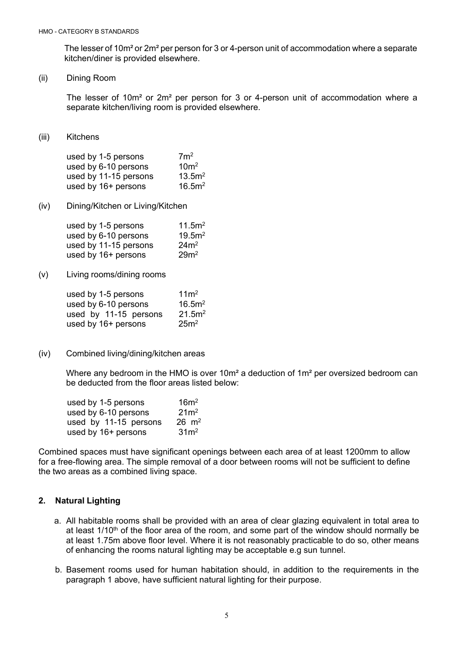The lesser of 10m<sup>2</sup> or 2m<sup>2</sup> per person for 3 or 4-person unit of accommodation where a separate kitchen/diner is provided elsewhere.

(ii) Dining Room

The lesser of 10m² or 2m² per person for 3 or 4-person unit of accommodation where a separate kitchen/living room is provided elsewhere.

(iii) Kitchens

| used by 1-5 persons   | 7m <sup>2</sup>    |
|-----------------------|--------------------|
| used by 6-10 persons  | 10 <sup>m²</sup>   |
| used by 11-15 persons | 13.5m <sup>2</sup> |
| used by 16+ persons   | 16.5m <sup>2</sup> |

(iv) Dining/Kitchen or Living/Kitchen

| used by 1-5 persons   | 11.5m <sup>2</sup> |
|-----------------------|--------------------|
| used by 6-10 persons  | 19.5m <sup>2</sup> |
| used by 11-15 persons | 24m <sup>2</sup>   |
| used by 16+ persons   | 29 <sup>2</sup>    |

(v) Living rooms/dining rooms

| used by 1-5 persons   | 11 <sup>2</sup>    |
|-----------------------|--------------------|
| used by 6-10 persons  | 16.5m <sup>2</sup> |
| used by 11-15 persons | 21.5m <sup>2</sup> |
| used by 16+ persons   | 25m <sup>2</sup>   |

(iv) Combined living/dining/kitchen areas

Where any bedroom in the HMO is over  $10m^2$  a deduction of  $1m^2$  per oversized bedroom can be deducted from the floor areas listed below:

| used by 1-5 persons   | 16m <sup>2</sup> |
|-----------------------|------------------|
| used by 6-10 persons  | $21m^2$          |
| used by 11-15 persons | $26 \, m^2$      |
| used by 16+ persons   | 31 <sup>2</sup>  |

Combined spaces must have significant openings between each area of at least 1200mm to allow for a free-flowing area. The simple removal of a door between rooms will not be sufficient to define the two areas as a combined living space.

## **2. Natural Lighting**

- a. All habitable rooms shall be provided with an area of clear glazing equivalent in total area to at least  $1/10<sup>th</sup>$  of the floor area of the room, and some part of the window should normally be at least 1.75m above floor level. Where it is not reasonably practicable to do so, other means of enhancing the rooms natural lighting may be acceptable e.g sun tunnel.
- b. Basement rooms used for human habitation should, in addition to the requirements in the paragraph 1 above, have sufficient natural lighting for their purpose.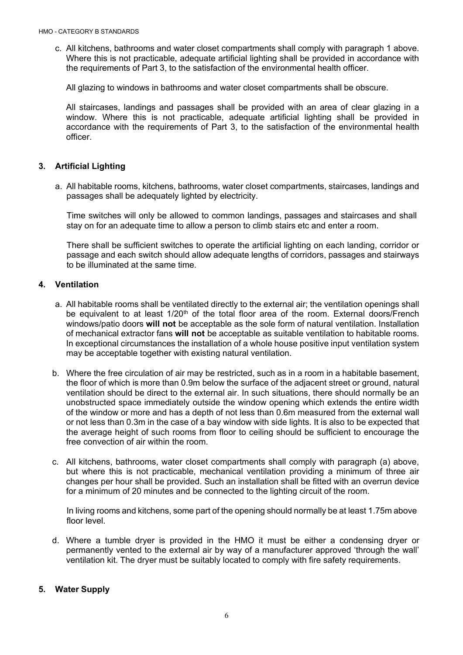c. All kitchens, bathrooms and water closet compartments shall comply with paragraph 1 above. Where this is not practicable, adequate artificial lighting shall be provided in accordance with the requirements of Part 3, to the satisfaction of the environmental health officer.

All glazing to windows in bathrooms and water closet compartments shall be obscure.

All staircases, landings and passages shall be provided with an area of clear glazing in a window. Where this is not practicable, adequate artificial lighting shall be provided in accordance with the requirements of Part 3, to the satisfaction of the environmental health officer.

### **3. Artificial Lighting**

a. All habitable rooms, kitchens, bathrooms, water closet compartments, staircases, landings and passages shall be adequately lighted by electricity.

Time switches will only be allowed to common landings, passages and staircases and shall stay on for an adequate time to allow a person to climb stairs etc and enter a room.

There shall be sufficient switches to operate the artificial lighting on each landing, corridor or passage and each switch should allow adequate lengths of corridors, passages and stairways to be illuminated at the same time.

### **4. Ventilation**

- a. All habitable rooms shall be ventilated directly to the external air; the ventilation openings shall be equivalent to at least 1/20<sup>th</sup> of the total floor area of the room. External doors/French windows/patio doors **will not** be acceptable as the sole form of natural ventilation. Installation of mechanical extractor fans **will not** be acceptable as suitable ventilation to habitable rooms. In exceptional circumstances the installation of a whole house positive input ventilation system may be acceptable together with existing natural ventilation.
- b. Where the free circulation of air may be restricted, such as in a room in a habitable basement, the floor of which is more than 0.9m below the surface of the adjacent street or ground, natural ventilation should be direct to the external air. In such situations, there should normally be an unobstructed space immediately outside the window opening which extends the entire width of the window or more and has a depth of not less than 0.6m measured from the external wall or not less than 0.3m in the case of a bay window with side lights. It is also to be expected that the average height of such rooms from floor to ceiling should be sufficient to encourage the free convection of air within the room.
- c. All kitchens, bathrooms, water closet compartments shall comply with paragraph (a) above, but where this is not practicable, mechanical ventilation providing a minimum of three air changes per hour shall be provided. Such an installation shall be fitted with an overrun device for a minimum of 20 minutes and be connected to the lighting circuit of the room.

In living rooms and kitchens, some part of the opening should normally be at least 1.75m above floor level.

d. Where a tumble dryer is provided in the HMO it must be either a condensing dryer or permanently vented to the external air by way of a manufacturer approved 'through the wall' ventilation kit. The dryer must be suitably located to comply with fire safety requirements.

#### **5. Water Supply**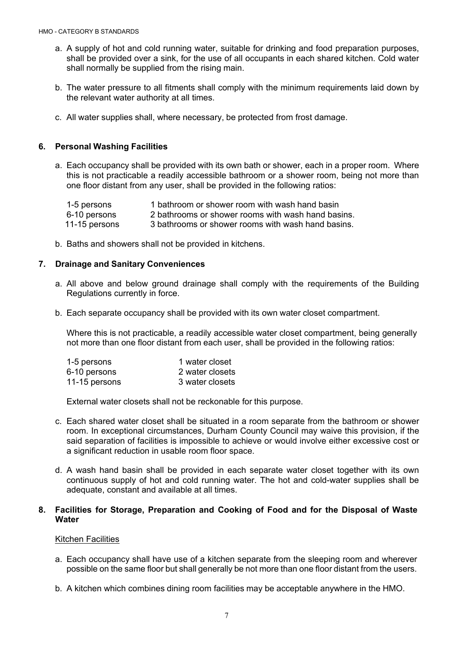- a. A supply of hot and cold running water, suitable for drinking and food preparation purposes, shall be provided over a sink, for the use of all occupants in each shared kitchen. Cold water shall normally be supplied from the rising main.
- b. The water pressure to all fitments shall comply with the minimum requirements laid down by the relevant water authority at all times.
- c. All water supplies shall, where necessary, be protected from frost damage.

## **6. Personal Washing Facilities**

a. Each occupancy shall be provided with its own bath or shower, each in a proper room. Where this is not practicable a readily accessible bathroom or a shower room, being not more than one floor distant from any user, shall be provided in the following ratios:

| 1-5 persons   | 1 bathroom or shower room with wash hand basin     |
|---------------|----------------------------------------------------|
| 6-10 persons  | 2 bathrooms or shower rooms with wash hand basins. |
| 11-15 persons | 3 bathrooms or shower rooms with wash hand basins. |

b. Baths and showers shall not be provided in kitchens.

### **7. Drainage and Sanitary Conveniences**

- a. All above and below ground drainage shall comply with the requirements of the Building Regulations currently in force.
- b. Each separate occupancy shall be provided with its own water closet compartment.

Where this is not practicable, a readily accessible water closet compartment, being generally not more than one floor distant from each user, shall be provided in the following ratios:

| 1-5 persons   | 1 water closet  |
|---------------|-----------------|
| 6-10 persons  | 2 water closets |
| 11-15 persons | 3 water closets |

External water closets shall not be reckonable for this purpose.

- c. Each shared water closet shall be situated in a room separate from the bathroom or shower room. In exceptional circumstances, Durham County Council may waive this provision, if the said separation of facilities is impossible to achieve or would involve either excessive cost or a significant reduction in usable room floor space.
- d. A wash hand basin shall be provided in each separate water closet together with its own continuous supply of hot and cold running water. The hot and cold-water supplies shall be adequate, constant and available at all times.

### **8. Facilities for Storage, Preparation and Cooking of Food and for the Disposal of Waste Water**

#### Kitchen Facilities

- a. Each occupancy shall have use of a kitchen separate from the sleeping room and wherever possible on the same floor but shall generally be not more than one floor distant from the users.
- b. A kitchen which combines dining room facilities may be acceptable anywhere in the HMO.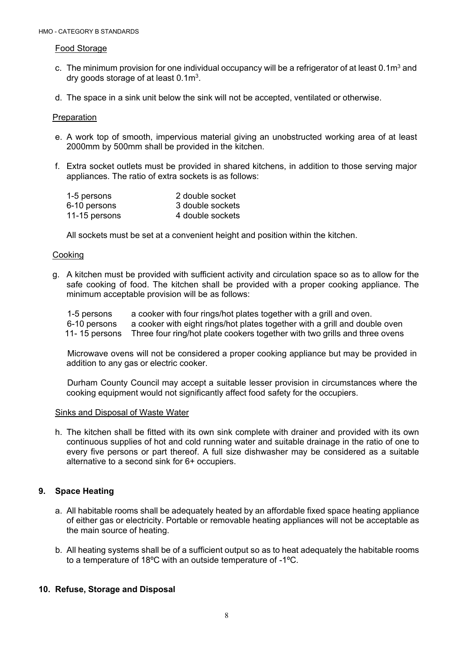#### Food Storage

- c. The minimum provision for one individual occupancy will be a refrigerator of at least  $0.1<sup>m</sup>$  and dry goods storage of at least 0.1m3.
- d. The space in a sink unit below the sink will not be accepted, ventilated or otherwise.

#### Preparation

- e. A work top of smooth, impervious material giving an unobstructed working area of at least 2000mm by 500mm shall be provided in the kitchen.
- f. Extra socket outlets must be provided in shared kitchens, in addition to those serving major appliances. The ratio of extra sockets is as follows:

| 1-5 persons   | 2 double socket  |
|---------------|------------------|
| 6-10 persons  | 3 double sockets |
| 11-15 persons | 4 double sockets |

All sockets must be set at a convenient height and position within the kitchen.

#### Cooking

g. A kitchen must be provided with sufficient activity and circulation space so as to allow for the safe cooking of food. The kitchen shall be provided with a proper cooking appliance. The minimum acceptable provision will be as follows:

| 1-5 persons   | a cooker with four rings/hot plates together with a grill and oven.        |
|---------------|----------------------------------------------------------------------------|
| 6-10 persons  | a cooker with eight rings/hot plates together with a grill and double oven |
| 11-15 persons | Three four ring/hot plate cookers together with two grills and three ovens |

Microwave ovens will not be considered a proper cooking appliance but may be provided in addition to any gas or electric cooker.

Durham County Council may accept a suitable lesser provision in circumstances where the cooking equipment would not significantly affect food safety for the occupiers.

#### Sinks and Disposal of Waste Water

h. The kitchen shall be fitted with its own sink complete with drainer and provided with its own continuous supplies of hot and cold running water and suitable drainage in the ratio of one to every five persons or part thereof. A full size dishwasher may be considered as a suitable alternative to a second sink for 6+ occupiers.

## **9. Space Heating**

- a. All habitable rooms shall be adequately heated by an affordable fixed space heating appliance of either gas or electricity. Portable or removable heating appliances will not be acceptable as the main source of heating.
- b. All heating systems shall be of a sufficient output so as to heat adequately the habitable rooms to a temperature of 18ºC with an outside temperature of -1ºC.

## **10. Refuse, Storage and Disposal**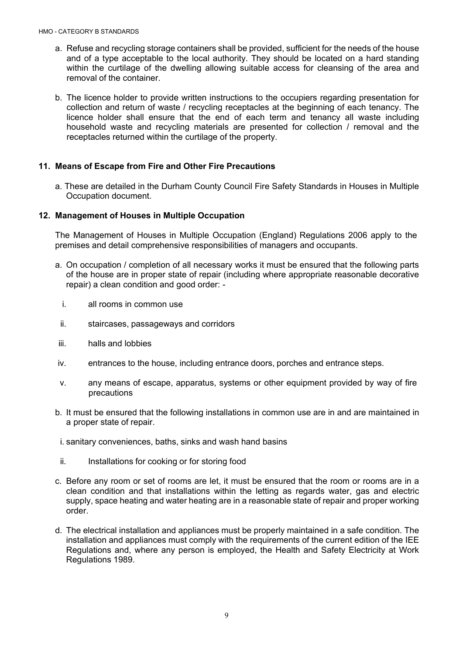- a. Refuse and recycling storage containers shall be provided, sufficient for the needs of the house and of a type acceptable to the local authority. They should be located on a hard standing within the curtilage of the dwelling allowing suitable access for cleansing of the area and removal of the container.
- b. The licence holder to provide written instructions to the occupiers regarding presentation for collection and return of waste / recycling receptacles at the beginning of each tenancy. The licence holder shall ensure that the end of each term and tenancy all waste including household waste and recycling materials are presented for collection / removal and the receptacles returned within the curtilage of the property.

## **11. Means of Escape from Fire and Other Fire Precautions**

a. These are detailed in the Durham County Council Fire Safety Standards in Houses in Multiple Occupation document.

## **12. Management of Houses in Multiple Occupation**

The Management of Houses in Multiple Occupation (England) Regulations 2006 apply to the premises and detail comprehensive responsibilities of managers and occupants.

- a. On occupation / completion of all necessary works it must be ensured that the following parts of the house are in proper state of repair (including where appropriate reasonable decorative repair) a clean condition and good order:
	- i. all rooms in common use
	- ii. staircases, passageways and corridors
- iii. halls and lobbies
- iv. entrances to the house, including entrance doors, porches and entrance steps.
- v. any means of escape, apparatus, systems or other equipment provided by way of fire precautions
- b. It must be ensured that the following installations in common use are in and are maintained in a proper state of repair.
- i. sanitary conveniences, baths, sinks and wash hand basins
- ii. Installations for cooking or for storing food
- c. Before any room or set of rooms are let, it must be ensured that the room or rooms are in a clean condition and that installations within the letting as regards water, gas and electric supply, space heating and water heating are in a reasonable state of repair and proper working order.
- d. The electrical installation and appliances must be properly maintained in a safe condition. The installation and appliances must comply with the requirements of the current edition of the IEE Regulations and, where any person is employed, the Health and Safety Electricity at Work Regulations 1989.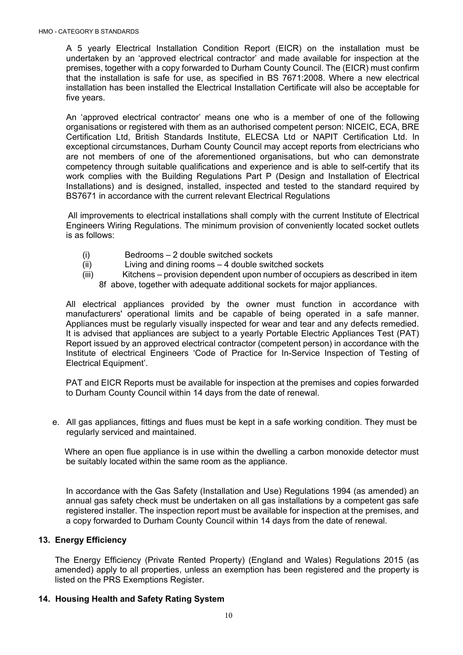A 5 yearly Electrical Installation Condition Report (EICR) on the installation must be undertaken by an 'approved electrical contractor' and made available for inspection at the premises, together with a copy forwarded to Durham County Council. The (EICR) must confirm that the installation is safe for use, as specified in BS 7671:2008. Where a new electrical installation has been installed the Electrical Installation Certificate will also be acceptable for five years.

An 'approved electrical contractor' means one who is a member of one of the following organisations or registered with them as an authorised competent person: NICEIC, ECA, BRE Certification Ltd, British Standards Institute, ELECSA Ltd or NAPIT Certification Ltd. In exceptional circumstances, Durham County Council may accept reports from electricians who are not members of one of the aforementioned organisations, but who can demonstrate competency through suitable qualifications and experience and is able to self-certify that its work complies with the Building Regulations Part P (Design and Installation of Electrical Installations) and is designed, installed, inspected and tested to the standard required by BS7671 in accordance with the current relevant Electrical Regulations

All improvements to electrical installations shall comply with the current Institute of Electrical Engineers Wiring Regulations. The minimum provision of conveniently located socket outlets is as follows:

- (i) Bedrooms 2 double switched sockets
- (ii) Living and dining rooms 4 double switched sockets
- (iii) Kitchens provision dependent upon number of occupiers as described in item 8f above, together with adequate additional sockets for major appliances.

All electrical appliances provided by the owner must function in accordance with manufacturers' operational limits and be capable of being operated in a safe manner. Appliances must be regularly visually inspected for wear and tear and any defects remedied. It is advised that appliances are subject to a yearly Portable Electric Appliances Test (PAT) Report issued by an approved electrical contractor (competent person) in accordance with the Institute of electrical Engineers 'Code of Practice for In-Service Inspection of Testing of Electrical Equipment'.

PAT and EICR Reports must be available for inspection at the premises and copies forwarded to Durham County Council within 14 days from the date of renewal.

e. All gas appliances, fittings and flues must be kept in a safe working condition. They must be regularly serviced and maintained.

Where an open flue appliance is in use within the dwelling a carbon monoxide detector must be suitably located within the same room as the appliance.

In accordance with the Gas Safety (Installation and Use) Regulations 1994 (as amended) an annual gas safety check must be undertaken on all gas installations by a competent gas safe registered installer. The inspection report must be available for inspection at the premises, and a copy forwarded to Durham County Council within 14 days from the date of renewal.

# **13. Energy Efficiency**

The Energy Efficiency (Private Rented Property) (England and Wales) Regulations 2015 (as amended) apply to all properties, unless an exemption has been registered and the property is listed on the PRS Exemptions Register.

## **14. Housing Health and Safety Rating System**